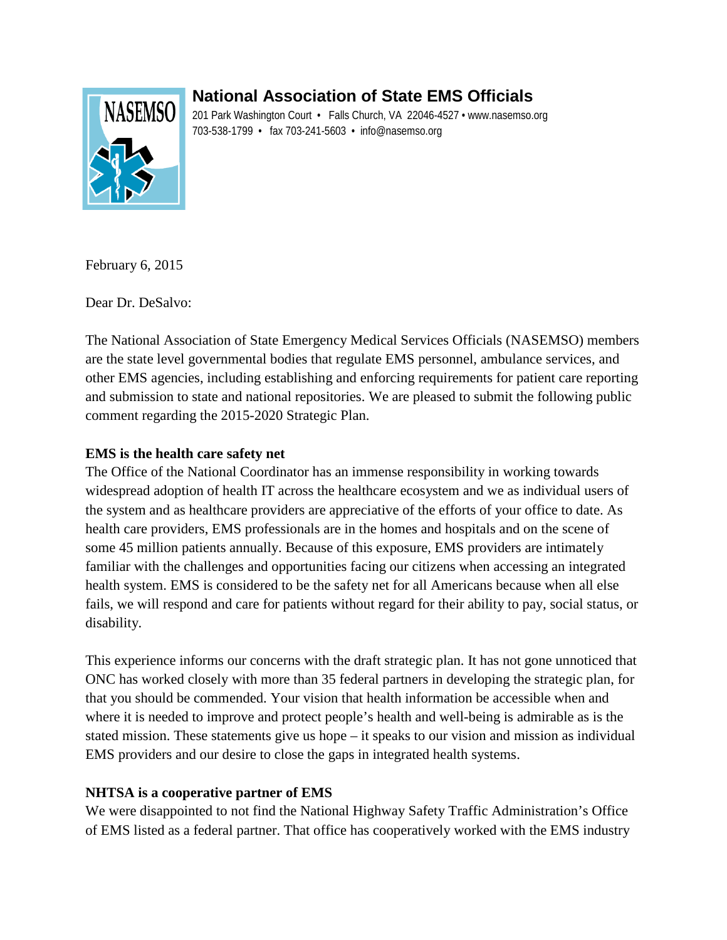# **National Association of State EMS Officials**



201 Park Washington Court • Falls Church, VA 22046-4527 • www.nasemso.org 703-538-1799 • fax 703-241-5603 • info@nasemso.org

February 6, 2015

Dear Dr. DeSalvo:

The National Association of State Emergency Medical Services Officials (NASEMSO) members are the state level governmental bodies that regulate EMS personnel, ambulance services, and other EMS agencies, including establishing and enforcing requirements for patient care reporting and submission to state and national repositories. We are pleased to submit the following public comment regarding the 2015-2020 Strategic Plan.

# **EMS is the health care safety net**

The Office of the National Coordinator has an immense responsibility in working towards widespread adoption of health IT across the healthcare ecosystem and we as individual users of the system and as healthcare providers are appreciative of the efforts of your office to date. As health care providers, EMS professionals are in the homes and hospitals and on the scene of some 45 million patients annually. Because of this exposure, EMS providers are intimately familiar with the challenges and opportunities facing our citizens when accessing an integrated health system. EMS is considered to be the safety net for all Americans because when all else fails, we will respond and care for patients without regard for their ability to pay, social status, or disability.

This experience informs our concerns with the draft strategic plan. It has not gone unnoticed that ONC has worked closely with more than 35 federal partners in developing the strategic plan, for that you should be commended. Your vision that health information be accessible when and where it is needed to improve and protect people's health and well-being is admirable as is the stated mission. These statements give us hope – it speaks to our vision and mission as individual EMS providers and our desire to close the gaps in integrated health systems.

# **NHTSA is a cooperative partner of EMS**

We were disappointed to not find the National Highway Safety Traffic Administration's Office of EMS listed as a federal partner. That office has cooperatively worked with the EMS industry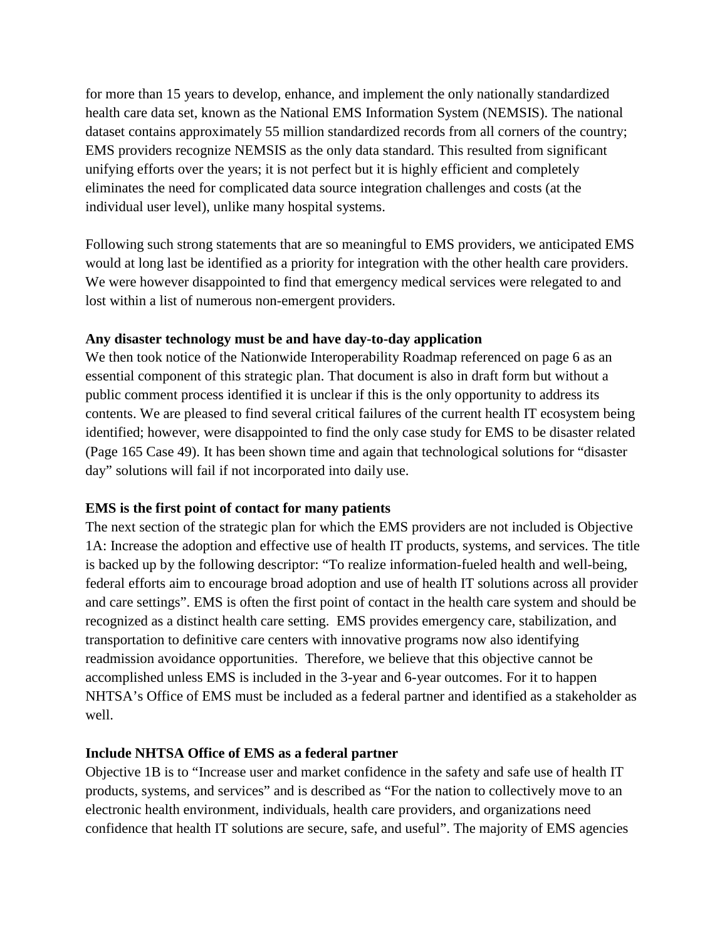for more than 15 years to develop, enhance, and implement the only nationally standardized health care data set, known as the National EMS Information System (NEMSIS). The national dataset contains approximately 55 million standardized records from all corners of the country; EMS providers recognize NEMSIS as the only data standard. This resulted from significant unifying efforts over the years; it is not perfect but it is highly efficient and completely eliminates the need for complicated data source integration challenges and costs (at the individual user level), unlike many hospital systems.

Following such strong statements that are so meaningful to EMS providers, we anticipated EMS would at long last be identified as a priority for integration with the other health care providers. We were however disappointed to find that emergency medical services were relegated to and lost within a list of numerous non-emergent providers.

## **Any disaster technology must be and have day-to-day application**

We then took notice of the Nationwide Interoperability Roadmap referenced on page 6 as an essential component of this strategic plan. That document is also in draft form but without a public comment process identified it is unclear if this is the only opportunity to address its contents. We are pleased to find several critical failures of the current health IT ecosystem being identified; however, were disappointed to find the only case study for EMS to be disaster related (Page 165 Case 49). It has been shown time and again that technological solutions for "disaster day" solutions will fail if not incorporated into daily use.

#### **EMS is the first point of contact for many patients**

The next section of the strategic plan for which the EMS providers are not included is Objective 1A: Increase the adoption and effective use of health IT products, systems, and services. The title is backed up by the following descriptor: "To realize information-fueled health and well-being, federal efforts aim to encourage broad adoption and use of health IT solutions across all provider and care settings". EMS is often the first point of contact in the health care system and should be recognized as a distinct health care setting. EMS provides emergency care, stabilization, and transportation to definitive care centers with innovative programs now also identifying readmission avoidance opportunities. Therefore, we believe that this objective cannot be accomplished unless EMS is included in the 3-year and 6-year outcomes. For it to happen NHTSA's Office of EMS must be included as a federal partner and identified as a stakeholder as well.

#### **Include NHTSA Office of EMS as a federal partner**

Objective 1B is to "Increase user and market confidence in the safety and safe use of health IT products, systems, and services" and is described as "For the nation to collectively move to an electronic health environment, individuals, health care providers, and organizations need confidence that health IT solutions are secure, safe, and useful". The majority of EMS agencies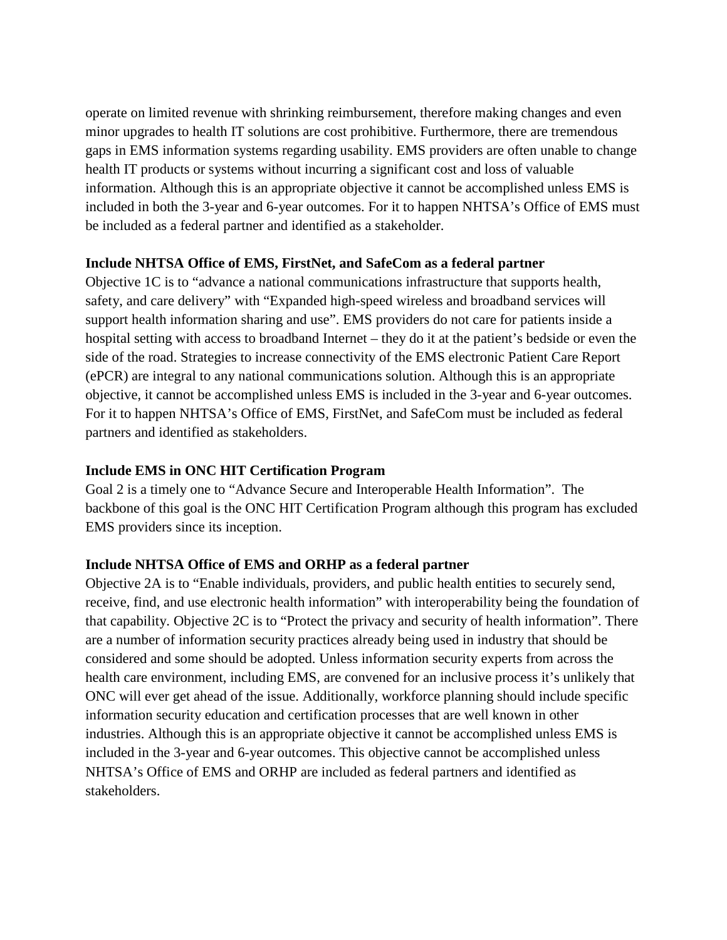operate on limited revenue with shrinking reimbursement, therefore making changes and even minor upgrades to health IT solutions are cost prohibitive. Furthermore, there are tremendous gaps in EMS information systems regarding usability. EMS providers are often unable to change health IT products or systems without incurring a significant cost and loss of valuable information. Although this is an appropriate objective it cannot be accomplished unless EMS is included in both the 3-year and 6-year outcomes. For it to happen NHTSA's Office of EMS must be included as a federal partner and identified as a stakeholder.

## **Include NHTSA Office of EMS, FirstNet, and SafeCom as a federal partner**

Objective 1C is to "advance a national communications infrastructure that supports health, safety, and care delivery" with "Expanded high-speed wireless and broadband services will support health information sharing and use". EMS providers do not care for patients inside a hospital setting with access to broadband Internet – they do it at the patient's bedside or even the side of the road. Strategies to increase connectivity of the EMS electronic Patient Care Report (ePCR) are integral to any national communications solution. Although this is an appropriate objective, it cannot be accomplished unless EMS is included in the 3-year and 6-year outcomes. For it to happen NHTSA's Office of EMS, FirstNet, and SafeCom must be included as federal partners and identified as stakeholders.

# **Include EMS in ONC HIT Certification Program**

Goal 2 is a timely one to "Advance Secure and Interoperable Health Information". The backbone of this goal is the ONC HIT Certification Program although this program has excluded EMS providers since its inception.

# **Include NHTSA Office of EMS and ORHP as a federal partner**

Objective 2A is to "Enable individuals, providers, and public health entities to securely send, receive, find, and use electronic health information" with interoperability being the foundation of that capability. Objective 2C is to "Protect the privacy and security of health information". There are a number of information security practices already being used in industry that should be considered and some should be adopted. Unless information security experts from across the health care environment, including EMS, are convened for an inclusive process it's unlikely that ONC will ever get ahead of the issue. Additionally, workforce planning should include specific information security education and certification processes that are well known in other industries. Although this is an appropriate objective it cannot be accomplished unless EMS is included in the 3-year and 6-year outcomes. This objective cannot be accomplished unless NHTSA's Office of EMS and ORHP are included as federal partners and identified as stakeholders.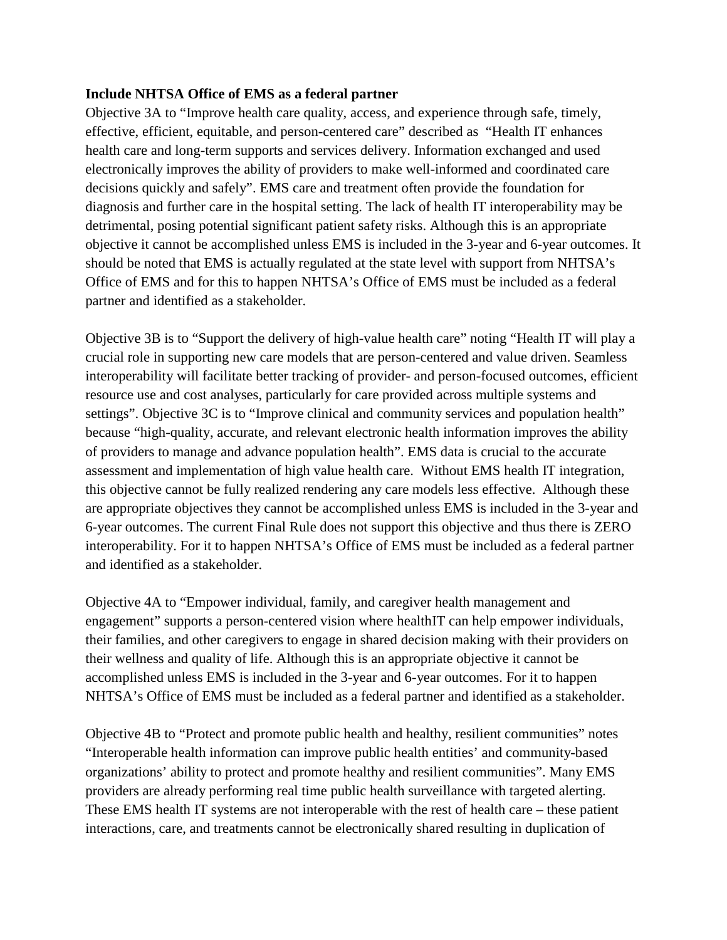## **Include NHTSA Office of EMS as a federal partner**

Objective 3A to "Improve health care quality, access, and experience through safe, timely, effective, efficient, equitable, and person-centered care" described as "Health IT enhances health care and long-term supports and services delivery. Information exchanged and used electronically improves the ability of providers to make well-informed and coordinated care decisions quickly and safely". EMS care and treatment often provide the foundation for diagnosis and further care in the hospital setting. The lack of health IT interoperability may be detrimental, posing potential significant patient safety risks. Although this is an appropriate objective it cannot be accomplished unless EMS is included in the 3-year and 6-year outcomes. It should be noted that EMS is actually regulated at the state level with support from NHTSA's Office of EMS and for this to happen NHTSA's Office of EMS must be included as a federal partner and identified as a stakeholder.

Objective 3B is to "Support the delivery of high-value health care" noting "Health IT will play a crucial role in supporting new care models that are person-centered and value driven. Seamless interoperability will facilitate better tracking of provider- and person-focused outcomes, efficient resource use and cost analyses, particularly for care provided across multiple systems and settings". Objective 3C is to "Improve clinical and community services and population health" because "high-quality, accurate, and relevant electronic health information improves the ability of providers to manage and advance population health". EMS data is crucial to the accurate assessment and implementation of high value health care. Without EMS health IT integration, this objective cannot be fully realized rendering any care models less effective. Although these are appropriate objectives they cannot be accomplished unless EMS is included in the 3-year and 6-year outcomes. The current Final Rule does not support this objective and thus there is ZERO interoperability. For it to happen NHTSA's Office of EMS must be included as a federal partner and identified as a stakeholder.

Objective 4A to "Empower individual, family, and caregiver health management and engagement" supports a person-centered vision where healthIT can help empower individuals, their families, and other caregivers to engage in shared decision making with their providers on their wellness and quality of life. Although this is an appropriate objective it cannot be accomplished unless EMS is included in the 3-year and 6-year outcomes. For it to happen NHTSA's Office of EMS must be included as a federal partner and identified as a stakeholder.

Objective 4B to "Protect and promote public health and healthy, resilient communities" notes "Interoperable health information can improve public health entities' and community-based organizations' ability to protect and promote healthy and resilient communities". Many EMS providers are already performing real time public health surveillance with targeted alerting. These EMS health IT systems are not interoperable with the rest of health care – these patient interactions, care, and treatments cannot be electronically shared resulting in duplication of